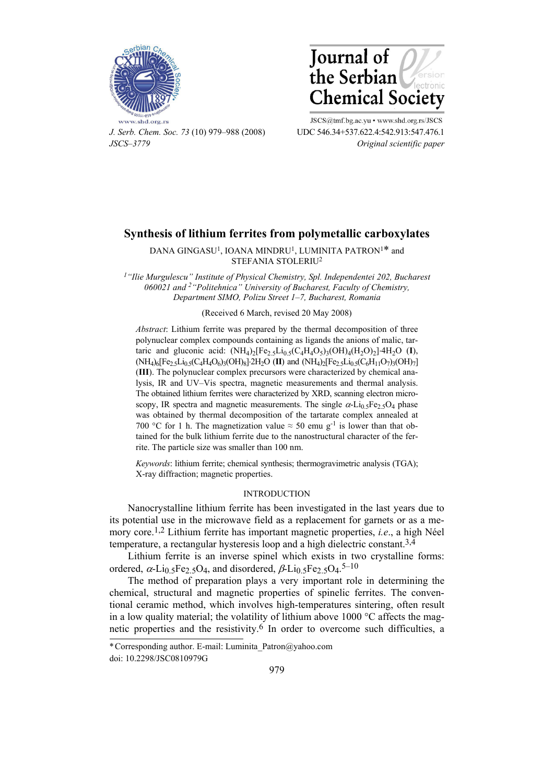



*J. Serb. Chem. Soc. 73* (10) 979–988 (2008) UDC 546.34+537.622.4:542.913:547.476.1 *JSCS–3779 Original scientific paper* 

JSCS@tmf.bg.ac.yu . www.shd.org.rs/JSCS

# **Synthesis of lithium ferrites from polymetallic carboxylates**

DANA GINGASU<sup>1</sup>, IOANA MINDRU<sup>1</sup>, LUMINITA PATRON<sup>1\*</sup> and STEFANIA STOLERIU2

*1"Ilie Murgulescu" Institute of Physical Chemistry, Spl. Independentei 202, Bucharest 060021 and 2"Politehnica" University of Bucharest, Faculty of Chemistry, Department SIMO, Polizu Street 1–7, Bucharest, Romania* 

### (Received 6 March, revised 20 May 2008)

*Abstract*: Lithium ferrite was prepared by the thermal decomposition of three polynuclear complex compounds containing as ligands the anions of malic, tartaric and gluconic acid:  $(NH_4)_2[Fe_{2.5}Li_{0.5}(C_4H_4O_5)_3(OH)_4(H_2O)_2]$ <sup>-4</sup>H<sub>2</sub>O (**I**),  $(NH_4)_6[Fe_2_5Li_{0.5}(C_4H_4O_6)_3(OH)_8]$ <sup>2</sup>H<sub>2</sub>O (**II**) and  $(NH_4)_2[Fe_2_5Li_{0.5}(C_6H_{11}O_7)_3(OH)_7]$ (**III**). The polynuclear complex precursors were characterized by chemical analysis, IR and UV–Vis spectra, magnetic measurements and thermal analysis. The obtained lithium ferrites were characterized by XRD, scanning electron microscopy, IR spectra and magnetic measurements. The single  $\alpha$ -Li<sub>0.5</sub>Fe<sub>2.5</sub>O<sub>4</sub> phase was obtained by thermal decomposition of the tartarate complex annealed at 700 °C for 1 h. The magnetization value  $\approx$  50 emu g<sup>-1</sup> is lower than that obtained for the bulk lithium ferrite due to the nanostructural character of the ferrite. The particle size was smaller than 100 nm.

*Keywords*: lithium ferrite; chemical synthesis; thermogravimetric analysis (TGA); X-ray diffraction; magnetic properties.

## INTRODUCTION

Nanocrystalline lithium ferrite has been investigated in the last years due to its potential use in the microwave field as a replacement for garnets or as a memory core.1,2 Lithium ferrite has important magnetic properties, *i.e*., a high Néel temperature, a rectangular hysteresis loop and a high dielectric constant.3,4

Lithium ferrite is an inverse spinel which exists in two crystalline forms: ordered,  $\alpha$ -Li<sub>0.5</sub>Fe<sub>2.5</sub>O<sub>4</sub>, and disordered,  $\beta$ -Li<sub>0.5</sub>Fe<sub>2.5</sub>O<sub>4</sub>.<sup>5–10</sup>

The method of preparation plays a very important role in determining the chemical, structural and magnetic properties of spinelic ferrites. The conventional ceramic method, which involves high-temperatures sintering, often result in a low quality material; the volatility of lithium above  $1000 \degree C$  affects the magnetic properties and the resistivity.<sup>6</sup> In order to overcome such difficulties, a

<sup>\*</sup> Corresponding author. E-mail: Luminita\_Patron@yahoo.com

doi: 10.2298/JSC0810979G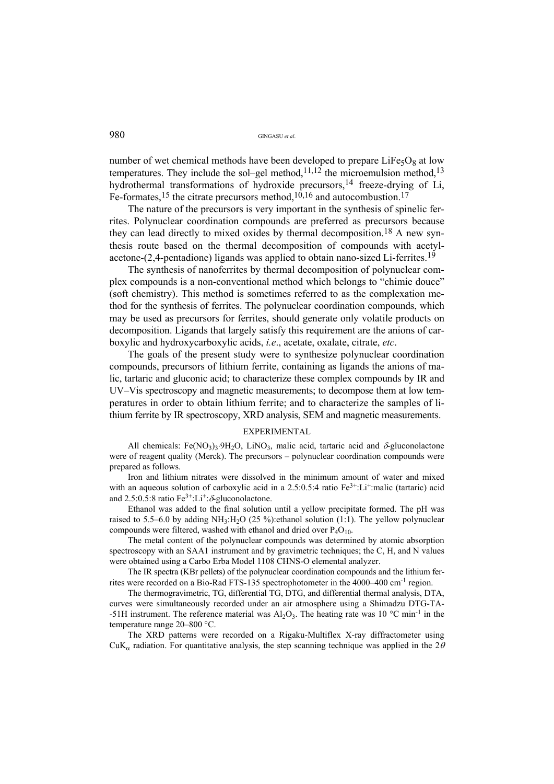number of wet chemical methods have been developed to prepare  $LiFe<sub>5</sub>O<sub>8</sub>$  at low temperatures. They include the sol–gel method,<sup>11,12</sup> the microemulsion method,<sup>13</sup> hydrothermal transformations of hydroxide precursors,<sup>14</sup> freeze-drying of Li, Fe-formates,<sup>15</sup> the citrate precursors method,<sup>10,16</sup> and autocombustion.<sup>17</sup>

The nature of the precursors is very important in the synthesis of spinelic ferrites. Polynuclear coordination compounds are preferred as precursors because they can lead directly to mixed oxides by thermal decomposition.18 A new synthesis route based on the thermal decomposition of compounds with acetylacetone-(2,4-pentadione) ligands was applied to obtain nano-sized Li-ferrites.19

The synthesis of nanoferrites by thermal decomposition of polynuclear complex compounds is a non-conventional method which belongs to "chimie douce" (soft chemistry). This method is sometimes referred to as the complexation method for the synthesis of ferrites. The polynuclear coordination compounds, which may be used as precursors for ferrites, should generate only volatile products on decomposition. Ligands that largely satisfy this requirement are the anions of carboxylic and hydroxycarboxylic acids, *i.e*., acetate, oxalate, citrate, *etc*.

The goals of the present study were to synthesize polynuclear coordination compounds, precursors of lithium ferrite, containing as ligands the anions of malic, tartaric and gluconic acid; to characterize these complex compounds by IR and UV–Vis spectroscopy and magnetic measurements; to decompose them at low temperatures in order to obtain lithium ferrite; and to characterize the samples of lithium ferrite by IR spectroscopy, XRD analysis, SEM and magnetic measurements.

#### EXPERIMENTAL

All chemicals: Fe(NO<sub>3</sub>)<sub>3</sub>.9H<sub>2</sub>O, LiNO<sub>3</sub>, malic acid, tartaric acid and  $\delta$ -gluconolactone were of reagent quality (Merck). The precursors – polynuclear coordination compounds were prepared as follows.

Iron and lithium nitrates were dissolved in the minimum amount of water and mixed with an aqueous solution of carboxylic acid in a 2.5:0.5:4 ratio Fe<sup>3+</sup>:Li<sup>+</sup>:malic (tartaric) acid and 2.5:0.5:8 ratio  $Fe^{3+}:Li^{+}$ : $\delta$ -gluconolactone.

Ethanol was added to the final solution until a yellow precipitate formed. The pH was raised to 5.5–6.0 by adding  $NH_3:H_2O$  (25 %): ethanol solution (1:1). The yellow polynuclear compounds were filtered, washed with ethanol and dried over  $P_4O_{10}$ .

The metal content of the polynuclear compounds was determined by atomic absorption spectroscopy with an SAA1 instrument and by gravimetric techniques; the C, H, and N values were obtained using a Carbo Erba Model 1108 CHNS-O elemental analyzer.

The IR spectra (KBr pellets) of the polynuclear coordination compounds and the lithium ferrites were recorded on a Bio-Rad FTS-135 spectrophotometer in the 4000–400 cm-1 region.

The thermogravimetric, TG, differential TG, DTG, and differential thermal analysis, DTA, curves were simultaneously recorded under an air atmosphere using a Shimadzu DTG-TA- -51H instrument. The reference material was  $A_1O_3$ . The heating rate was 10 °C min<sup>-1</sup> in the temperature range 20–800 °C.

The XRD patterns were recorded on a Rigaku-Multiflex X-ray diffractometer using CuK<sub> $\alpha$ </sub> radiation. For quantitative analysis, the step scanning technique was applied in the 2 $\theta$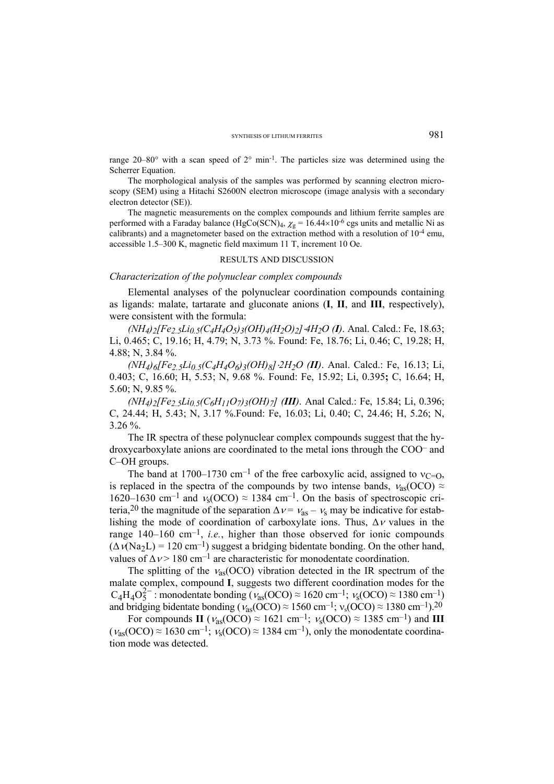range  $20-80^\circ$  with a scan speed of  $2^\circ$  min<sup>-1</sup>. The particles size was determined using the Scherrer Equation.

The morphological analysis of the samples was performed by scanning electron microscopy (SEM) using a Hitachi S2600N electron microscope (image analysis with a secondary electron detector (SE)).

The magnetic measurements on the complex compounds and lithium ferrite samples are performed with a Faraday balance (HgCo(SCN)<sub>4</sub>,  $\chi$ <sub>g</sub> = 16.44×10<sup>-6</sup> cgs units and metallic Ni as calibrants) and a magnetometer based on the extraction method with a resolution of 10-4 emu, accessible 1.5–300 K, magnetic field maximum 11 T, increment 10 Oe.

#### RESULTS AND DISCUSSION

#### *Characterization of the polynuclear complex compounds*

Elemental analyses of the polynuclear coordination compounds containing as ligands: malate, tartarate and gluconate anions (**I**, **II**, and **III**, respectively), were consistent with the formula:

*(NH4)2[Fe2.5Li0.5(C4H4O5)3(OH)4(H2O)2]4H2O (I)*. Anal. Calcd.: Fe, 18.63; Li, 0.465; C, 19.16; H, 4.79; N, 3.73 %. Found: Fe, 18.76; Li, 0.46; C, 19.28; H, 4.88; N, 3.84 %.

*(NH4)6[Fe2.5Li0.5(C4H4O6)3(OH)8]2H2O (II)*. Anal. Calcd.: Fe, 16.13; Li, 0.403; C, 16.60; H, 5.53; N, 9.68 %. Found: Fe, 15.92; Li, 0.395**;** C, 16.64; H, 5.60; N, 9.85 %.

*(NH4)2[Fe2.5Li0.5(C6H11O7)3(OH)7] (III)*. Anal Calcd.: Fe, 15.84; Li, 0.396; C, 24.44; H, 5.43; N, 3.17 %.Found: Fe, 16.03; Li, 0.40; C, 24.46; H, 5.26; N, 3.26 %.

The IR spectra of these polynuclear complex compounds suggest that the hydroxycarboxylate anions are coordinated to the metal ions through the COO– and C–OH groups.

The band at 1700–1730 cm<sup>-1</sup> of the free carboxylic acid, assigned to  $v_{C=0}$ , is replaced in the spectra of the compounds by two intense bands,  $v_{as}(\text{OCO}) \approx$ 1620–1630 cm<sup>-1</sup> and  $v_s(\text{OCO}) \approx 1384 \text{ cm}^{-1}$ . On the basis of spectroscopic criteria,<sup>20</sup> the magnitude of the separation  $\Delta v = v_{\text{as}} - v_{\text{s}}$  may be indicative for establishing the mode of coordination of carboxylate ions. Thus,  $\Delta v$  values in the range  $140-160 \text{ cm}^{-1}$ , *i.e.*, higher than those observed for ionic compounds  $(\Delta V)(Na<sub>2</sub>L) = 120$  cm<sup>-1</sup>) suggest a bridging bidentate bonding. On the other hand, values of  $\Delta v > 180$  cm<sup>-1</sup> are characteristic for monodentate coordination.

The splitting of the  $v_{as} (OCO)$  vibration detected in the IR spectrum of the malate complex, compound **I**, suggests two different coordination modes for the  $C_4H_4O_5^{2-}$ : monodentate bonding ( $v_{as}(OCO) \approx 1620 \text{ cm}^{-1}$ ;  $v_s(OCO) \approx 1380 \text{ cm}^{-1}$ ) and bridging bidentate bonding ( $v_{as}(OCO) \approx 1560 \text{ cm}^{-1}$ ;  $v_s(OCO) \approx 1380 \text{ cm}^{-1}$ ).<sup>20</sup>

For compounds **II** ( $v_{\text{as}}$ (OCO)  $\approx 1621 \text{ cm}^{-1}$ ;  $v_{\text{s}}$ (OCO)  $\approx 1385 \text{ cm}^{-1}$ ) and **III**  $(\nu_{as}(OCO) \approx 1630 \text{ cm}^{-1}; \nu_s(OCO) \approx 1384 \text{ cm}^{-1})$ , only the monodentate coordination mode was detected.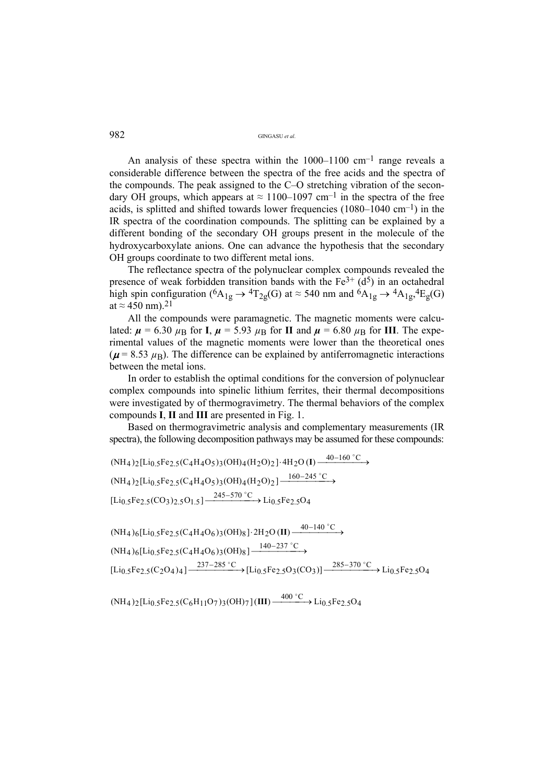An analysis of these spectra within the  $1000-1100$  cm<sup>-1</sup> range reveals a considerable difference between the spectra of the free acids and the spectra of the compounds. The peak assigned to the C–O stretching vibration of the secondary OH groups, which appears at  $\approx 1100-1097$  cm<sup>-1</sup> in the spectra of the free acids, is splitted and shifted towards lower frequencies  $(1080-1040 \text{ cm}^{-1})$  in the IR spectra of the coordination compounds. The splitting can be explained by a different bonding of the secondary OH groups present in the molecule of the hydroxycarboxylate anions. One can advance the hypothesis that the secondary OH groups coordinate to two different metal ions.

The reflectance spectra of the polynuclear complex compounds revealed the presence of weak forbidden transition bands with the  $Fe^{3+}$  ( $d^{5}$ ) in an octahedral high spin configuration ( ${}^{6}A_{1g} \rightarrow {}^{4}T_{2g}(G)$  at  $\approx 540$  nm and  ${}^{6}A_{1g} \rightarrow {}^{4}A_{1g}$ ,  ${}^{4}E_{g}(G)$ at  $\approx$  450 nm).<sup>21</sup>

All the compounds were paramagnetic. The magnetic moments were calculated:  $\mu = 6.30 \mu_B$  for **I**,  $\mu = 5.93 \mu_B$  for **II** and  $\mu = 6.80 \mu_B$  for **III**. The experimental values of the magnetic moments were lower than the theoretical ones  $(\mu = 8.53 \mu_B)$ . The difference can be explained by antiferromagnetic interactions between the metal ions.

In order to establish the optimal conditions for the conversion of polynuclear complex compounds into spinelic lithium ferrites, their thermal decompositions were investigated by of thermogravimetry. The thermal behaviors of the complex compounds **I**, **II** and **III** are presented in Fig. 1.

Based on thermogravimetric analysis and complementary measurements (IR spectra), the following decomposition pathways may be assumed for these compounds:

$$
(NH_4)_2[Li_{0.5}Fe_{2.5}(C_4H_4O_5)_3(OH)_4(H_2O)_2] \cdot 4H_2O(I) \xrightarrow{40-160 °C} (NH_4)_2[Li_{0.5}Fe_{2.5}(C_4H_4O_5)_3(OH)_4(H_2O)_2] \xrightarrow{160-245 °C} (Li_{0.5}Fe_{2.5}(CO_3)_2.5O_{1.5}] \xrightarrow{245-570 °C} Li_{0.5}Fe_{2.5}O_4
$$

 $\text{[Li}_{0.5}\text{Fe}_{2.5}(C_2O_4)_4] \xrightarrow{237-285^\circ C} \text{[Li}_{0.5}\text{Fe}_{2.5}O_3(CO_3)] \xrightarrow{285-370^\circ C} \text{Li}_{0.5}\text{Fe}_{2.5}O_4$  $(NH_4)_{6}$ [Li<sub>0.5</sub>Fe<sub>2.5</sub>(C<sub>4</sub>H<sub>4</sub>O<sub>6</sub>)<sub>3</sub>(OH)<sub>8</sub>]<sup>-140-237 °C</sup>  $(NH_4)$ 6[Li<sub>0.5</sub>Fe<sub>2.5</sub>(C<sub>4</sub>H<sub>4</sub>O<sub>6</sub>)<sub>3</sub>(OH)<sub>8</sub>]·2H<sub>2</sub>O(II)  $\xrightarrow{40-140\degree C}$ 

 $(NH_4)_2$ [Li<sub>0.5</sub>Fe<sub>2.5</sub>(C<sub>6</sub>H<sub>11</sub>O<sub>7</sub>)<sub>3</sub>(OH)<sub>7</sub>](III)  $\xrightarrow{400\degree C}$  Li<sub>0.5</sub>Fe<sub>2.5</sub>O<sub>4</sub>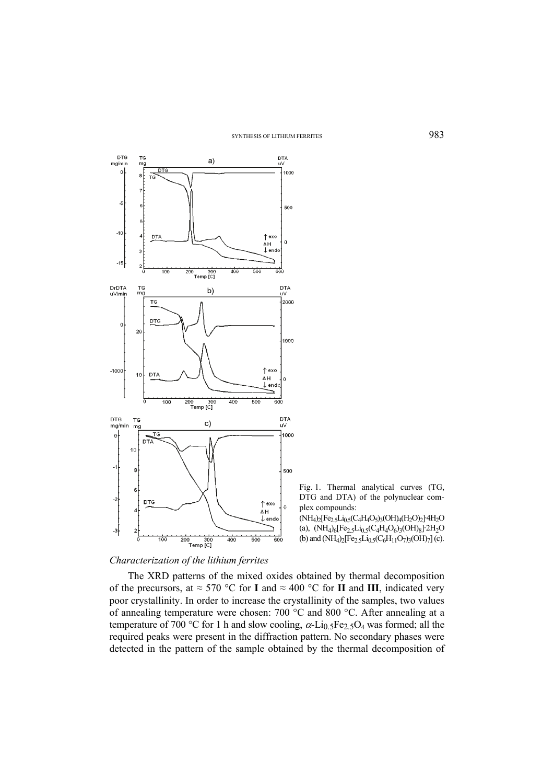

Fig. 1. Thermal analytical curves (TG, DTG and DTA) of the polynuclear complex compounds:

(NH4)2[Fe2.5Li0.5(C4H4O5)3(OH)4(H2O)2]·4H2O (a),  $(NH_4)_6[Fe_2_5Li_0_5(C_4H_4O_6)_3(OH)_8]$  2H<sub>2</sub>O (b) and  $(NH_4)_2[Fe_{2.5}Li_{0.5}(C_6H_{11}O_7)_3(OH)_7]$  (c).

# *Characterization of the lithium ferrites*

The XRD patterns of the mixed oxides obtained by thermal decomposition of the precursors, at  $\approx$  570 °C for **I** and  $\approx$  400 °C for **II** and **III**, indicated very poor crystallinity. In order to increase the crystallinity of the samples, two values of annealing temperature were chosen: 700 °C and 800 °C. After annealing at a temperature of 700 °C for 1 h and slow cooling,  $\alpha$ -Li<sub>0.5</sub>Fe<sub>2.5</sub>O<sub>4</sub> was formed; all the required peaks were present in the diffraction pattern. No secondary phases were detected in the pattern of the sample obtained by the thermal decomposition of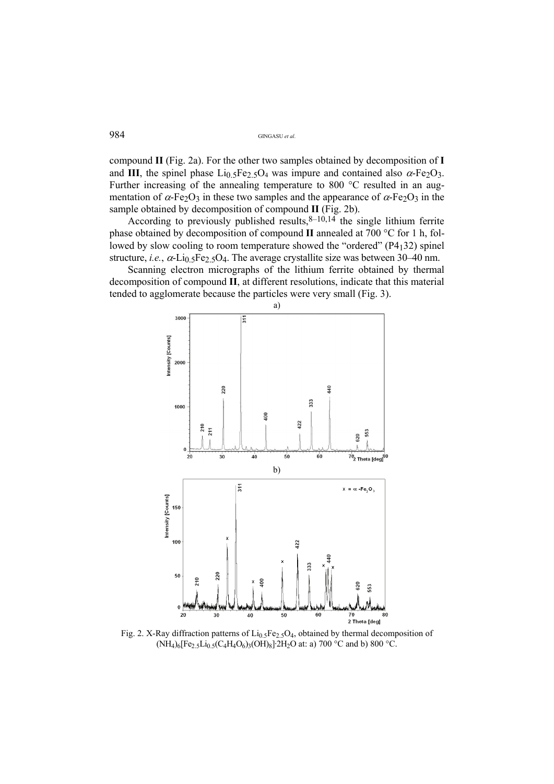compound **II** (Fig. 2a). For the other two samples obtained by decomposition of **I** and **III**, the spinel phase  $Li<sub>0.5</sub>Fe<sub>2.5</sub>O<sub>4</sub>$  was impure and contained also  $\alpha$ -Fe<sub>2</sub>O<sub>3</sub>. Further increasing of the annealing temperature to 800 °C resulted in an augmentation of  $\alpha$ -Fe<sub>2</sub>O<sub>3</sub> in these two samples and the appearance of  $\alpha$ -Fe<sub>2</sub>O<sub>3</sub> in the sample obtained by decomposition of compound **II** (Fig. 2b).

According to previously published results,  $8-10,14$  the single lithium ferrite phase obtained by decomposition of compound **II** annealed at 700 °C for 1 h, followed by slow cooling to room temperature showed the "ordered" (P4132) spinel structure, *i.e.*,  $\alpha$ -Li<sub>0.5</sub>Fe<sub>2.5</sub>O<sub>4</sub>. The average crystallite size was between 30–40 nm.

Scanning electron micrographs of the lithium ferrite obtained by thermal decomposition of compound **II**, at different resolutions, indicate that this material tended to agglomerate because the particles were very small (Fig. 3).



Fig. 2. X-Ray diffraction patterns of  $Li_{0.5}Fe_{2.5}O_4$ , obtained by thermal decomposition of  $(NH_4)_6[Fe_25Li_05(C_4H_4O_6)_3(OH)_8]$ <sup>2</sup>H<sub>2</sub>O at: a) 700 °C and b) 800 °C.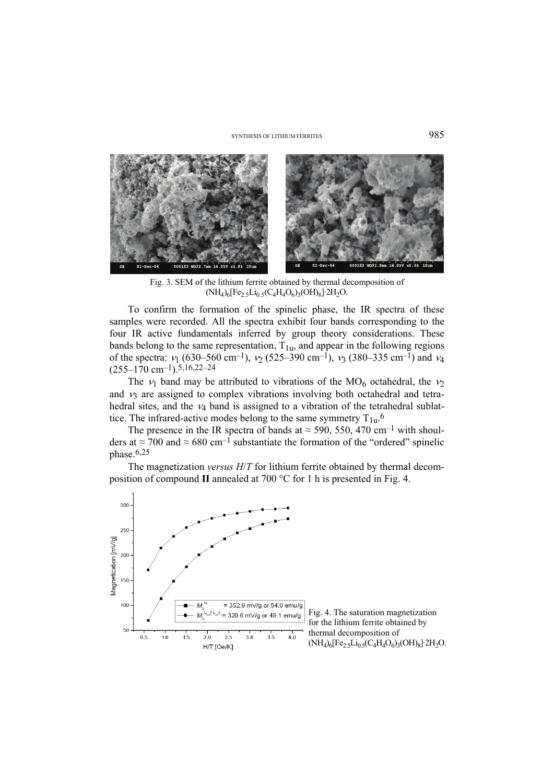#### SYNTHESIS OF LITHIUM FERRITES 985



Fig. 3. SEM of the lithium ferrite obtained by thermal decomposition of  $(NH_4)_6[Fe_2_5Li_0_5(C_4H_4O_6)_3(OH)_8]$ <sup>-2H<sub>2</sub>O.</sup>

To confirm the formation of the spinelic phase, the IR spectra of these samples were recorded. All the spectra exhibit four bands corresponding to the four IR active fundamentals inferred by group theory considerations. These bands belong to the same representation,  $T_{1u}$ , and appear in the following regions of the spectra:  $v_1$  (630–560 cm<sup>-1</sup>),  $v_2$  (525–390 cm<sup>-1</sup>),  $v_3$  (380–335 cm<sup>-1</sup>) and  $v_4$  $(255-170 \text{ cm}^{-1})$ . 5,16,22-24

The  $v_1$  band may be attributed to vibrations of the MO<sub>6</sub> octahedral, the  $v_2$ and  $\nu_3$  are assigned to complex vibrations involving both octahedral and tetrahedral sites, and the  $\nu_4$  band is assigned to a vibration of the tetrahedral sublattice. The infrared-active modes belong to the same symmetry  $T_{1u}$ .

The presence in the IR spectra of bands at  $\approx$  590, 550, 470 cm<sup>-1</sup> with shoulders at  $\approx$  700 and  $\approx$  680 cm<sup>-1</sup> substantiate the formation of the "ordered" spinelic phase. $6,25$ 

The magnetization *versus H*/*T* for lithium ferrite obtained by thermal decomposition of compound **II** annealed at 700 °C for 1 h is presented in Fig. 4.

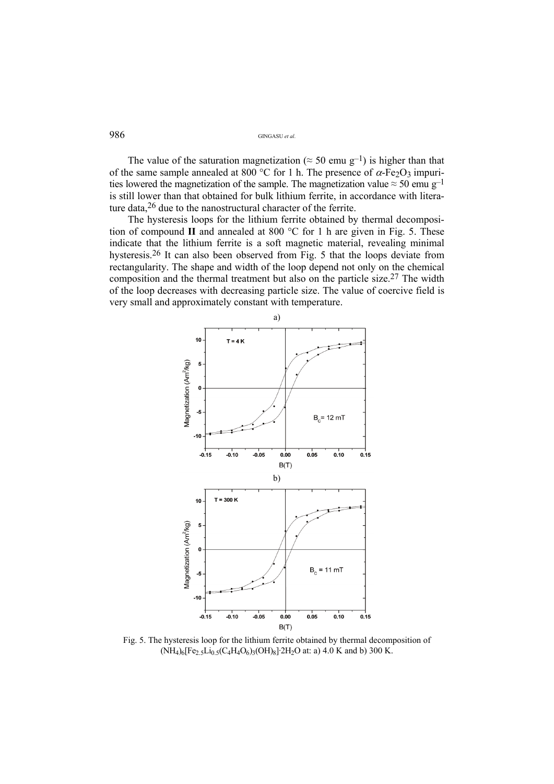The value of the saturation magnetization ( $\approx$  50 emu g<sup>-1</sup>) is higher than that of the same sample annealed at 800 °C for 1 h. The presence of  $\alpha$ -Fe<sub>2</sub>O<sub>3</sub> impurities lowered the magnetization of the sample. The magnetization value  $\approx 50$  emu g<sup>-1</sup> is still lower than that obtained for bulk lithium ferrite, in accordance with literature data,26 due to the nanostructural character of the ferrite.

The hysteresis loops for the lithium ferrite obtained by thermal decomposition of compound **II** and annealed at 800 °C for 1 h are given in Fig. 5. These indicate that the lithium ferrite is a soft magnetic material, revealing minimal hysteresis.26 It can also been observed from Fig. 5 that the loops deviate from rectangularity. The shape and width of the loop depend not only on the chemical composition and the thermal treatment but also on the particle size.27 The width of the loop decreases with decreasing particle size. The value of coercive field is very small and approximately constant with temperature.



Fig. 5. The hysteresis loop for the lithium ferrite obtained by thermal decomposition of  $(NH_4)_6[Fe_2_5Li_0_5(C_4H_4O_6)_3(OH)_8]$  2H<sub>2</sub>O at: a) 4.0 K and b) 300 K.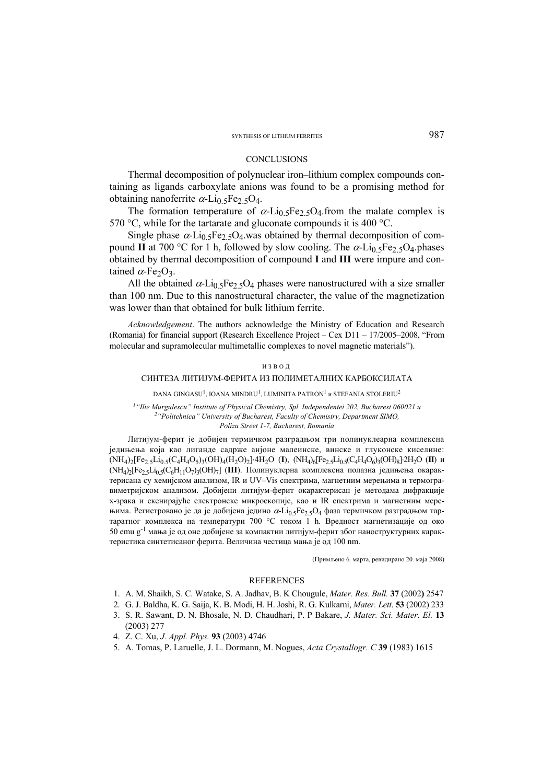#### SYNTHESIS OF LITHIUM FERRITES 987

#### **CONCLUSIONS**

Thermal decomposition of polynuclear iron–lithium complex compounds containing as ligands carboxylate anions was found to be a promising method for obtaining nanoferrite  $\alpha$ -Li<sub>0.5</sub>Fe<sub>2.5</sub>O<sub>4</sub>.

The formation temperature of  $\alpha$ -Li<sub>0.5</sub>Fe<sub>2.5</sub>O<sub>4</sub>.from the malate complex is 570 °C, while for the tartarate and gluconate compounds it is 400 °C.

Single phase  $\alpha$ -Li<sub>0.5</sub>Fe<sub>2.5</sub>O<sub>4</sub>, was obtained by thermal decomposition of compound **II** at 700 °C for 1 h, followed by slow cooling. The  $\alpha$ -Li<sub>0.5</sub>Fe<sub>2.5</sub>O<sub>4</sub>.phases obtained by thermal decomposition of compound **I** and **III** were impure and contained  $\alpha$ -Fe<sub>2</sub>O<sub>3</sub>.

All the obtained  $\alpha$ -Li<sub>0.5</sub>Fe<sub>2.5</sub>O<sub>4</sub> phases were nanostructured with a size smaller than 100 nm. Due to this nanostructural character, the value of the magnetization was lower than that obtained for bulk lithium ferrite.

*Acknowledgement*. The authors acknowledge the Ministry of Education and Research (Romania) for financial support (Research Excellence Project – Cex D11 – 17/2005–2008, "From molecular and supramolecular multimetallic complexes to novel magnetic materials").

#### ИЗВОД

### СИНТЕЗА ЛИТИЈУМ-ФЕРИТА ИЗ ПОЛИМЕТАЛНИХ КАРБОКСИЛАТА

DANA GINGASU<sup>1</sup>, IOANA MINDRU<sup>1</sup>, LUMINITA PATRON<sup>1</sup> и STEFANIA STOLERIU<sup>2</sup>

*1"Ilie Murgulescu" Institute of Physical Chemistry, Spl. Independentei 202, Bucharest 060021 и 2"Politehnica" University of Bucharest, Faculty of Chemistry, Department SIMO, Polizu Street 1-7, Bucharest, Romania* 

Литијум-ферит је добијен термичком разградњом три полинуклеарна комплексна једињења која као лиганде садрже анјоне малеинске, винске и глуконске киселине:  $(NH_4)_2$ [Fe<sub>2.5</sub>Li<sub>0.5</sub>(C<sub>4</sub>H<sub>4</sub>O<sub>5</sub>)3</sub>(OH)<sub>4</sub>(H<sub>2</sub>O)<sub>2</sub>].<sup>4</sup>H<sub>2</sub>O (**I**),  $(NH_4)_6$ [Fe<sub>2.5</sub>Li<sub>0.5</sub>(C<sub>4</sub>H<sub>4</sub>O<sub>6</sub>)3(OH)8].2H<sub>2</sub>O (**II**) *u*  $(NH_4)$ [Fe<sub>2.5</sub>Li<sub>0.5</sub>(C<sub>6</sub>H<sub>11</sub>O<sub>7</sub>)<sub>3</sub>(OH)<sub>7</sub>] (III). Полинуклерна комплексна полазна једињења окарактерисана су хемијском анализом, IR и UV–Vis спектрима, магнетним мерењима и термогравиметријском анализом. Добијени литијум-ферит окарактерисан је методама дифракције x-зрака и скенирајуће електронске микроскопије, као и IR спектрима и магнетним мерењима. Регистровано је да је добијена једино  $\alpha$ -Li<sub>0.5</sub>Fe<sub>2.5</sub>O<sub>4</sub> фаза термичком разградњом тартаратног комплекса на температури 700 °C током 1 h. Вредност магнетизације од око 50 emu g-1 мања је од оне добијене за компактни литијум-ферит због наноструктурних карактеристика синтетисаног ферита. Величина честица мања је од 100 nm.

(Примљено 6. марта, ревидирано 20. маја 2008)

#### **REFERENCES**

- 1. A. M. Shaikh, S. C. Watake, S. A. Jadhav, B. K Chougule, *Mater. Res. Bull.* **37** (2002**)** 2547
- 2. G. J. Baldha, K. G. Saija, K. B. Modi, H. H. Joshi, R. G. Kulkarni, *Mater. Lett*. **53** (2002) 233
- 3. S. R. Sawant, D. N. Bhosale, N. D. Chaudhari, P. P Bakare, *J. Mater. Sci. Mater. El.* **13** (2003) 277
- 4. Z. C. Xu, *J. Appl. Phys.* **93** (2003) 4746
- 5. A. Tomas, P. Laruelle, J. L. Dormann, M. Nogues, *Acta Crystallogr. C* **39** (1983) 1615